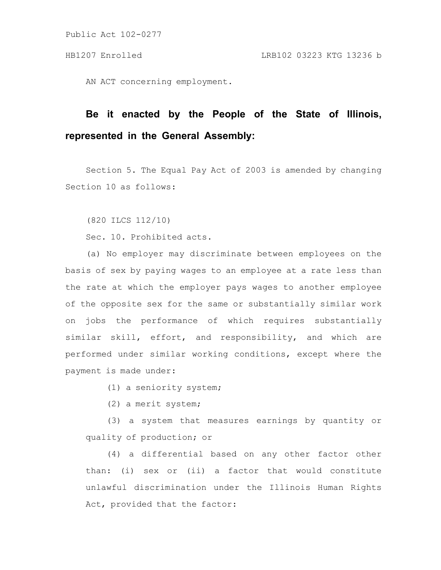Public Act 102-0277

AN ACT concerning employment.

## **Be it enacted by the People of the State of Illinois, represented in the General Assembly:**

Section 5. The Equal Pay Act of 2003 is amended by changing Section 10 as follows:

(820 ILCS 112/10)

Sec. 10. Prohibited acts.

(a) No employer may discriminate between employees on the basis of sex by paying wages to an employee at a rate less than the rate at which the employer pays wages to another employee of the opposite sex for the same or substantially similar work on jobs the performance of which requires substantially similar skill, effort, and responsibility, and which are performed under similar working conditions, except where the payment is made under:

- (1) a seniority system;
- (2) a merit system;

(3) a system that measures earnings by quantity or quality of production; or

(4) a differential based on any other factor other than: (i) sex or (ii) a factor that would constitute unlawful discrimination under the Illinois Human Rights Act, provided that the factor: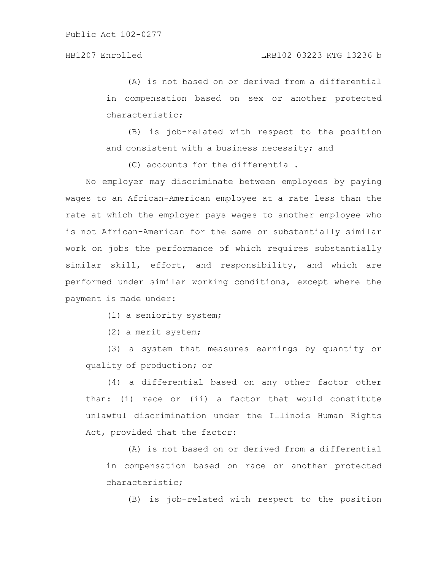(A) is not based on or derived from a differential in compensation based on sex or another protected characteristic;

(B) is job-related with respect to the position and consistent with a business necessity; and

(C) accounts for the differential.

No employer may discriminate between employees by paying wages to an African-American employee at a rate less than the rate at which the employer pays wages to another employee who is not African-American for the same or substantially similar work on jobs the performance of which requires substantially similar skill, effort, and responsibility, and which are performed under similar working conditions, except where the payment is made under:

(1) a seniority system;

(2) a merit system;

(3) a system that measures earnings by quantity or quality of production; or

(4) a differential based on any other factor other than: (i) race or (ii) a factor that would constitute unlawful discrimination under the Illinois Human Rights Act, provided that the factor:

(A) is not based on or derived from a differential in compensation based on race or another protected characteristic;

(B) is job-related with respect to the position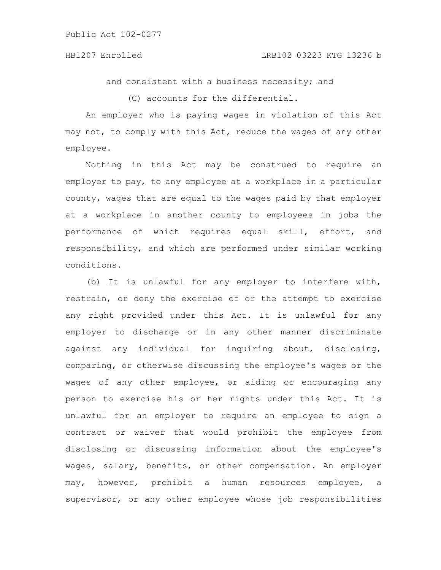## HB1207 Enrolled LRB102 03223 KTG 13236 b

and consistent with a business necessity; and

(C) accounts for the differential.

An employer who is paying wages in violation of this Act may not, to comply with this Act, reduce the wages of any other employee.

Nothing in this Act may be construed to require an employer to pay, to any employee at a workplace in a particular county, wages that are equal to the wages paid by that employer at a workplace in another county to employees in jobs the performance of which requires equal skill, effort, and responsibility, and which are performed under similar working conditions.

(b) It is unlawful for any employer to interfere with, restrain, or deny the exercise of or the attempt to exercise any right provided under this Act. It is unlawful for any employer to discharge or in any other manner discriminate against any individual for inquiring about, disclosing, comparing, or otherwise discussing the employee's wages or the wages of any other employee, or aiding or encouraging any person to exercise his or her rights under this Act. It is unlawful for an employer to require an employee to sign a contract or waiver that would prohibit the employee from disclosing or discussing information about the employee's wages, salary, benefits, or other compensation. An employer may, however, prohibit a human resources employee, a supervisor, or any other employee whose job responsibilities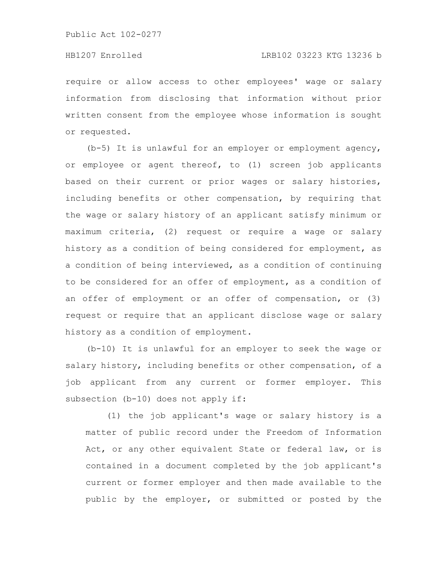Public Act 102-0277

require or allow access to other employees' wage or salary information from disclosing that information without prior written consent from the employee whose information is sought or requested.

(b-5) It is unlawful for an employer or employment agency, or employee or agent thereof, to (1) screen job applicants based on their current or prior wages or salary histories, including benefits or other compensation, by requiring that the wage or salary history of an applicant satisfy minimum or maximum criteria, (2) request or require a wage or salary history as a condition of being considered for employment, as a condition of being interviewed, as a condition of continuing to be considered for an offer of employment, as a condition of an offer of employment or an offer of compensation, or (3) request or require that an applicant disclose wage or salary history as a condition of employment.

(b-10) It is unlawful for an employer to seek the wage or salary history, including benefits or other compensation, of a job applicant from any current or former employer. This subsection (b-10) does not apply if:

(1) the job applicant's wage or salary history is a matter of public record under the Freedom of Information Act, or any other equivalent State or federal law, or is contained in a document completed by the job applicant's current or former employer and then made available to the public by the employer, or submitted or posted by the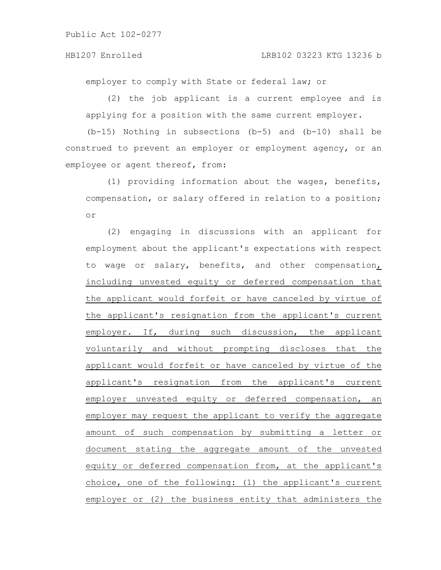employer to comply with State or federal law; or

(2) the job applicant is a current employee and is applying for a position with the same current employer.

(b-15) Nothing in subsections (b-5) and (b-10) shall be construed to prevent an employer or employment agency, or an employee or agent thereof, from:

(1) providing information about the wages, benefits, compensation, or salary offered in relation to a position; or

(2) engaging in discussions with an applicant for employment about the applicant's expectations with respect to wage or salary, benefits, and other compensation, including unvested equity or deferred compensation that the applicant would forfeit or have canceled by virtue of the applicant's resignation from the applicant's current employer. If, during such discussion, the applicant voluntarily and without prompting discloses that the applicant would forfeit or have canceled by virtue of the applicant's resignation from the applicant's current employer unvested equity or deferred compensation, an employer may request the applicant to verify the aggregate amount of such compensation by submitting a letter or document stating the aggregate amount of the unvested equity or deferred compensation from, at the applicant's choice, one of the following: (1) the applicant's current employer or (2) the business entity that administers the